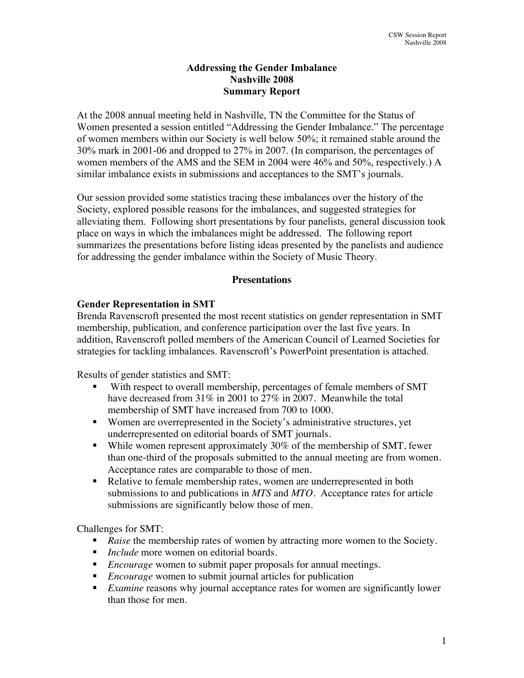### **Addressing the Gender Imbalance Nashville 2008 Summary Report**

At the 2008 annual meeting held in Nashville, TN the Committee for the Status of Women presented a session entitled "Addressing the Gender Imbalance." The percentage of women members within our Society is well below 50%; it remained stable around the 30% mark in 2001-06 and dropped to 27% in 2007. (In comparison, the percentages of women members of the AMS and the SEM in 2004 were 46% and 50%, respectively.) A similar imbalance exists in submissions and acceptances to the SMT's journals.

Our session provided some statistics tracing these imbalances over the history of the Society, explored possible reasons for the imbalances, and suggested strategies for alleviating them. Following short presentations by four panelists, general discussion took place on ways in which the imbalances might be addressed. The following report summarizes the presentations before listing ideas presented by the panelists and audience for addressing the gender imbalance within the Society of Music Theory.

#### **Presentations**

#### **Gender Representation in SMT**

Brenda Ravenscroft presented the most recent statistics on gender representation in SMT membership, publication, and conference participation over the last five years. In addition, Ravenscroft polled members of the American Council of Learned Societies for strategies for tackling imbalances. Ravenscroft's PowerPoint presentation is attached.

Results of gender statistics and SMT:

- With respect to overall membership, percentages of female members of SMT have decreased from 31% in 2001 to 27% in 2007. Meanwhile the total membership of SMT have increased from 700 to 1000.
- Women are overrepresented in the Society's administrative structures, yet underrepresented on editorial boards of SMT journals.
- While women represent approximately  $30\%$  of the membership of SMT, fewer than one-third of the proposals submitted to the annual meeting are from women. Acceptance rates are comparable to those of men.
- Relative to female membership rates, women are underrepresented in both submissions to and publications in *MTS* and *MTO*. Acceptance rates for article submissions are significantly below those of men.

Challenges for SMT:

- *Raise* the membership rates of women by attracting more women to the Society.
- *Include* more women on editorial boards.
- *Encourage* women to submit paper proposals for annual meetings.
- *Encourage* women to submit journal articles for publication
- **Examine reasons why journal acceptance rates for women are significantly lower** than those for men.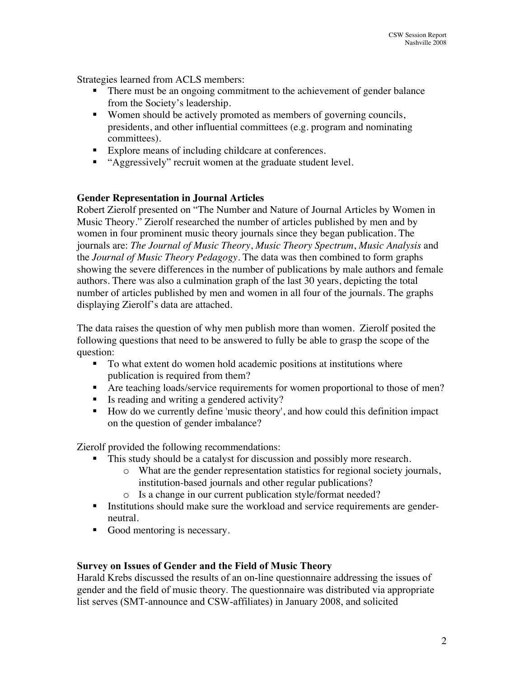Strategies learned from ACLS members:

- There must be an ongoing commitment to the achievement of gender balance from the Society's leadership.
- Women should be actively promoted as members of governing councils, presidents, and other influential committees (e.g. program and nominating committees).
- Explore means of including childcare at conferences.
- "Aggressively" recruit women at the graduate student level.

#### **Gender Representation in Journal Articles**

Robert Zierolf presented on "The Number and Nature of Journal Articles by Women in Music Theory." Zierolf researched the number of articles published by men and by women in four prominent music theory journals since they began publication. The journals are: *The Journal of Music Theory*, *Music Theory Spectrum*, *Music Analysis* and the *Journal of Music Theory Pedagogy*. The data was then combined to form graphs showing the severe differences in the number of publications by male authors and female authors. There was also a culmination graph of the last 30 years, depicting the total number of articles published by men and women in all four of the journals. The graphs displaying Zierolf's data are attached.

The data raises the question of why men publish more than women. Zierolf posited the following questions that need to be answered to fully be able to grasp the scope of the question:

- To what extent do women hold academic positions at institutions where publication is required from them?
- Are teaching loads/service requirements for women proportional to those of men?
- Is reading and writing a gendered activity?
- How do we currently define 'music theory', and how could this definition impact on the question of gender imbalance?

Zierolf provided the following recommendations:

- This study should be a catalyst for discussion and possibly more research.
	- o What are the gender representation statistics for regional society journals, institution-based journals and other regular publications?
	- o Is a change in our current publication style/format needed?
- Institutions should make sure the workload and service requirements are genderneutral.
- Good mentoring is necessary.

### **Survey on Issues of Gender and the Field of Music Theory**

Harald Krebs discussed the results of an on-line questionnaire addressing the issues of gender and the field of music theory. The questionnaire was distributed via appropriate list serves (SMT-announce and CSW-affiliates) in January 2008, and solicited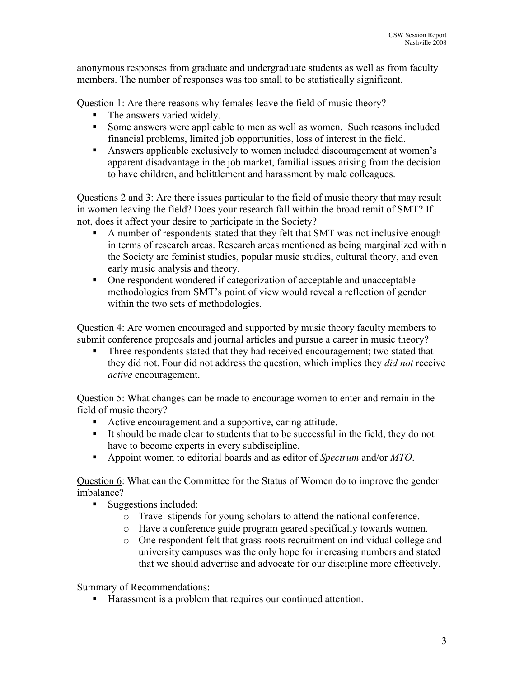anonymous responses from graduate and undergraduate students as well as from faculty members. The number of responses was too small to be statistically significant.

Question 1: Are there reasons why females leave the field of music theory?

- The answers varied widely.
- Some answers were applicable to men as well as women. Such reasons included financial problems, limited job opportunities, loss of interest in the field.
- Answers applicable exclusively to women included discouragement at women's apparent disadvantage in the job market, familial issues arising from the decision to have children, and belittlement and harassment by male colleagues.

Questions 2 and 3: Are there issues particular to the field of music theory that may result in women leaving the field? Does your research fall within the broad remit of SMT? If not, does it affect your desire to participate in the Society?

- A number of respondents stated that they felt that SMT was not inclusive enough in terms of research areas. Research areas mentioned as being marginalized within the Society are feminist studies, popular music studies, cultural theory, and even early music analysis and theory.
- One respondent wondered if categorization of acceptable and unacceptable methodologies from SMT's point of view would reveal a reflection of gender within the two sets of methodologies.

Question 4: Are women encouraged and supported by music theory faculty members to submit conference proposals and journal articles and pursue a career in music theory?

 Three respondents stated that they had received encouragement; two stated that they did not. Four did not address the question, which implies they *did not* receive *active* encouragement.

Question 5: What changes can be made to encourage women to enter and remain in the field of music theory?

- Active encouragement and a supportive, caring attitude.
- It should be made clear to students that to be successful in the field, they do not have to become experts in every subdiscipline.
- Appoint women to editorial boards and as editor of *Spectrum* and/or *MTO*.

Question 6: What can the Committee for the Status of Women do to improve the gender imbalance?

- Suggestions included:
	- o Travel stipends for young scholars to attend the national conference.
	- o Have a conference guide program geared specifically towards women.
	- o One respondent felt that grass-roots recruitment on individual college and university campuses was the only hope for increasing numbers and stated that we should advertise and advocate for our discipline more effectively.

Summary of Recommendations:

■ Harassment is a problem that requires our continued attention.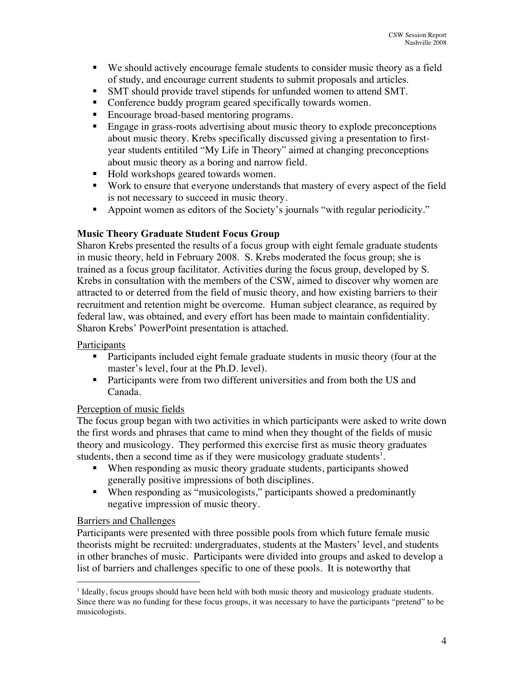- We should actively encourage female students to consider music theory as a field of study, and encourage current students to submit proposals and articles.
- SMT should provide travel stipends for unfunded women to attend SMT.
- Conference buddy program geared specifically towards women.
- Encourage broad-based mentoring programs.
- **Engage in grass-roots advertising about music theory to explode preconceptions** about music theory. Krebs specifically discussed giving a presentation to firstyear students entitiled "My Life in Theory" aimed at changing preconceptions about music theory as a boring and narrow field.
- Hold workshops geared towards women.
- Work to ensure that everyone understands that mastery of every aspect of the field is not necessary to succeed in music theory.
- Appoint women as editors of the Society's journals "with regular periodicity."

# **Music Theory Graduate Student Focus Group**

Sharon Krebs presented the results of a focus group with eight female graduate students in music theory, held in February 2008. S. Krebs moderated the focus group; she is trained as a focus group facilitator. Activities during the focus group, developed by S. Krebs in consultation with the members of the CSW, aimed to discover why women are attracted to or deterred from the field of music theory, and how existing barriers to their recruitment and retention might be overcome. Human subject clearance, as required by federal law, was obtained, and every effort has been made to maintain confidentiality. Sharon Krebs' PowerPoint presentation is attached.

### Participants

- Participants included eight female graduate students in music theory (four at the master's level, four at the Ph.D. level).
- Participants were from two different universities and from both the US and Canada.

### Perception of music fields

The focus group began with two activities in which participants were asked to write down the first words and phrases that came to mind when they thought of the fields of music theory and musicology. They performed this exercise first as music theory graduates students, then a second time as if they were musicology graduate students<sup>1</sup>.

- When responding as music theory graduate students, participants showed generally positive impressions of both disciplines.
- When responding as "musicologists," participants showed a predominantly negative impression of music theory.

### Barriers and Challenges

Participants were presented with three possible pools from which future female music theorists might be recruited: undergraduates, students at the Masters' level, and students in other branches of music. Participants were divided into groups and asked to develop a list of barriers and challenges specific to one of these pools. It is noteworthy that

<sup>|&</sup>lt;br>|<br>1  $<sup>1</sup>$  Ideally, focus groups should have been held with both music theory and musicology graduate students.</sup> Since there was no funding for these focus groups, it was necessary to have the participants "pretend" to be musicologists.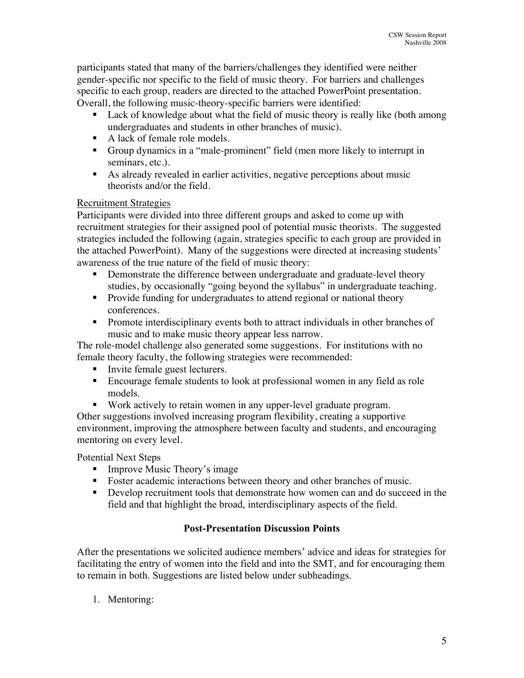participants stated that many of the barriers/challenges they identified were neither gender-specific nor specific to the field of music theory. For barriers and challenges specific to each group, readers are directed to the attached PowerPoint presentation. Overall, the following music-theory-specific barriers were identified:

- Lack of knowledge about what the field of music theory is really like (both among undergraduates and students in other branches of music).
- A lack of female role models.
- Group dynamics in a "male-prominent" field (men more likely to interrupt in seminars, etc.).
- As already revealed in earlier activities, negative perceptions about music theorists and/or the field.

# Recruitment Strategies

Participants were divided into three different groups and asked to come up with recruitment strategies for their assigned pool of potential music theorists. The suggested strategies included the following (again, strategies specific to each group are provided in the attached PowerPoint). Many of the suggestions were directed at increasing students' awareness of the true nature of the field of music theory:

- Demonstrate the difference between undergraduate and graduate-level theory studies, by occasionally "going beyond the syllabus" in undergraduate teaching.
- **Provide funding for undergraduates to attend regional or national theory** conferences.
- **Promote interdisciplinary events both to attract individuals in other branches of** music and to make music theory appear less narrow.

The role-model challenge also generated some suggestions. For institutions with no female theory faculty, the following strategies were recommended:

- Invite female guest lecturers.
- Encourage female students to look at professional women in any field as role models.
- Work actively to retain women in any upper-level graduate program.

Other suggestions involved increasing program flexibility, creating a supportive environment, improving the atmosphere between faculty and students, and encouraging mentoring on every level.

Potential Next Steps

- **Improve Music Theory's image**
- Foster academic interactions between theory and other branches of music.
- Develop recruitment tools that demonstrate how women can and do succeed in the field and that highlight the broad, interdisciplinary aspects of the field.

# **Post-Presentation Discussion Points**

After the presentations we solicited audience members' advice and ideas for strategies for facilitating the entry of women into the field and into the SMT, and for encouraging them to remain in both. Suggestions are listed below under subheadings.

1. Mentoring: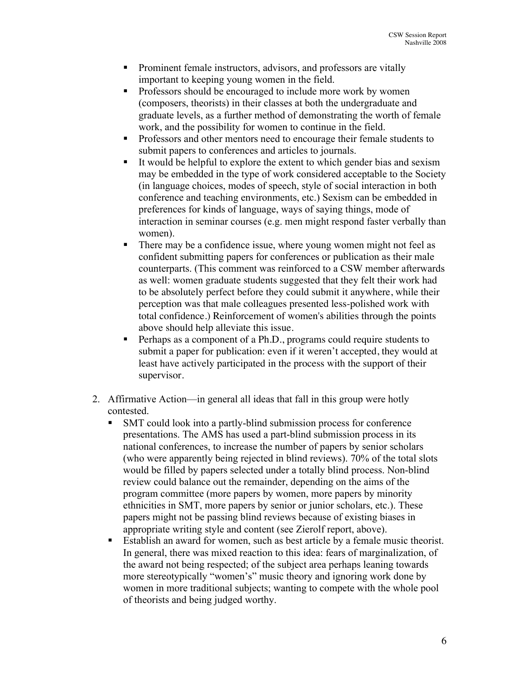- **Prominent female instructors, advisors, and professors are vitally** important to keeping young women in the field.
- Professors should be encouraged to include more work by women (composers, theorists) in their classes at both the undergraduate and graduate levels, as a further method of demonstrating the worth of female work, and the possibility for women to continue in the field.
- **Professors and other mentors need to encourage their female students to** submit papers to conferences and articles to journals.
- It would be helpful to explore the extent to which gender bias and sexism may be embedded in the type of work considered acceptable to the Society (in language choices, modes of speech, style of social interaction in both conference and teaching environments, etc.) Sexism can be embedded in preferences for kinds of language, ways of saying things, mode of interaction in seminar courses (e.g. men might respond faster verbally than women).
- There may be a confidence issue, where young women might not feel as confident submitting papers for conferences or publication as their male counterparts. (This comment was reinforced to a CSW member afterwards as well: women graduate students suggested that they felt their work had to be absolutely perfect before they could submit it anywhere, while their perception was that male colleagues presented less-polished work with total confidence.) Reinforcement of women's abilities through the points above should help alleviate this issue.
- **Perhaps as a component of a Ph.D., programs could require students to** submit a paper for publication: even if it weren't accepted, they would at least have actively participated in the process with the support of their supervisor.
- 2. Affirmative Action—in general all ideas that fall in this group were hotly contested.
	- SMT could look into a partly-blind submission process for conference presentations. The AMS has used a part-blind submission process in its national conferences, to increase the number of papers by senior scholars (who were apparently being rejected in blind reviews). 70% of the total slots would be filled by papers selected under a totally blind process. Non-blind review could balance out the remainder, depending on the aims of the program committee (more papers by women, more papers by minority ethnicities in SMT, more papers by senior or junior scholars, etc.). These papers might not be passing blind reviews because of existing biases in appropriate writing style and content (see Zierolf report, above).
	- Establish an award for women, such as best article by a female music theorist. In general, there was mixed reaction to this idea: fears of marginalization, of the award not being respected; of the subject area perhaps leaning towards more stereotypically "women's" music theory and ignoring work done by women in more traditional subjects; wanting to compete with the whole pool of theorists and being judged worthy.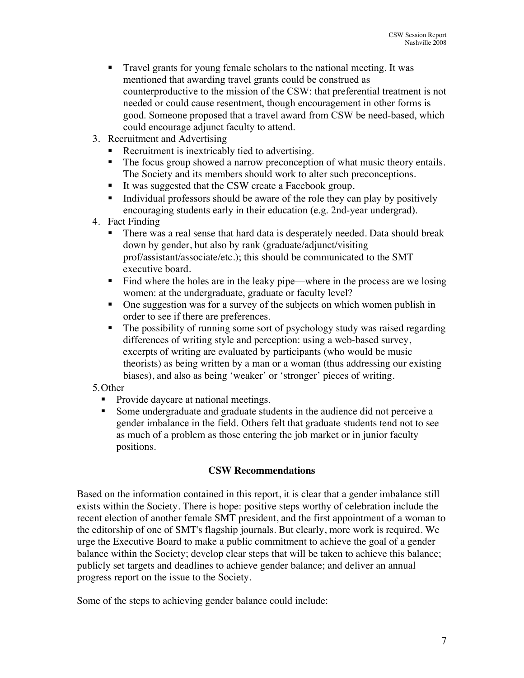- Travel grants for young female scholars to the national meeting. It was mentioned that awarding travel grants could be construed as counterproductive to the mission of the CSW: that preferential treatment is not needed or could cause resentment, though encouragement in other forms is good. Someone proposed that a travel award from CSW be need-based, which could encourage adjunct faculty to attend.
- 3. Recruitment and Advertising
	- Recruitment is inextricably tied to advertising.
	- The focus group showed a narrow preconception of what music theory entails. The Society and its members should work to alter such preconceptions.
	- It was suggested that the CSW create a Facebook group.
	- Individual professors should be aware of the role they can play by positively encouraging students early in their education (e.g. 2nd-year undergrad).
- 4. Fact Finding
	- There was a real sense that hard data is desperately needed. Data should break down by gender, but also by rank (graduate/adjunct/visiting prof/assistant/associate/etc.); this should be communicated to the SMT executive board.
	- Find where the holes are in the leaky pipe—where in the process are we losing women: at the undergraduate, graduate or faculty level?
	- One suggestion was for a survey of the subjects on which women publish in order to see if there are preferences.
	- The possibility of running some sort of psychology study was raised regarding differences of writing style and perception: using a web-based survey, excerpts of writing are evaluated by participants (who would be music theorists) as being written by a man or a woman (thus addressing our existing biases), and also as being 'weaker' or 'stronger' pieces of writing.
- 5.Other
	- Provide daycare at national meetings.
	- Some undergraduate and graduate students in the audience did not perceive a gender imbalance in the field. Others felt that graduate students tend not to see as much of a problem as those entering the job market or in junior faculty positions.

### **CSW Recommendations**

Based on the information contained in this report, it is clear that a gender imbalance still exists within the Society. There is hope: positive steps worthy of celebration include the recent election of another female SMT president, and the first appointment of a woman to the editorship of one of SMT's flagship journals. But clearly, more work is required. We urge the Executive Board to make a public commitment to achieve the goal of a gender balance within the Society; develop clear steps that will be taken to achieve this balance; publicly set targets and deadlines to achieve gender balance; and deliver an annual progress report on the issue to the Society.

Some of the steps to achieving gender balance could include: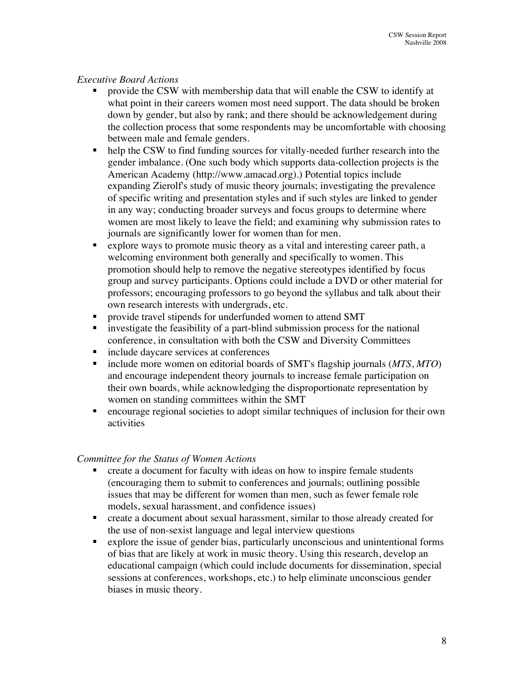#### *Executive Board Actions*

- provide the CSW with membership data that will enable the CSW to identify at what point in their careers women most need support. The data should be broken down by gender, but also by rank; and there should be acknowledgement during the collection process that some respondents may be uncomfortable with choosing between male and female genders.
- help the CSW to find funding sources for vitally-needed further research into the gender imbalance. (One such body which supports data-collection projects is the American Academy (http://www.amacad.org).) Potential topics include expanding Zierolf's study of music theory journals; investigating the prevalence of specific writing and presentation styles and if such styles are linked to gender in any way; conducting broader surveys and focus groups to determine where women are most likely to leave the field; and examining why submission rates to journals are significantly lower for women than for men.
- explore ways to promote music theory as a vital and interesting career path, a welcoming environment both generally and specifically to women. This promotion should help to remove the negative stereotypes identified by focus group and survey participants. Options could include a DVD or other material for professors; encouraging professors to go beyond the syllabus and talk about their own research interests with undergrads, etc.
- **Peropendical respects** For underfunded women to attend SMT
- investigate the feasibility of a part-blind submission process for the national conference, in consultation with both the CSW and Diversity Committees
- include daycare services at conferences
- include more women on editorial boards of SMT's flagship journals (*MTS*, *MTO*) and encourage independent theory journals to increase female participation on their own boards, while acknowledging the disproportionate representation by women on standing committees within the SMT
- encourage regional societies to adopt similar techniques of inclusion for their own activities

#### *Committee for the Status of Women Actions*

- create a document for faculty with ideas on how to inspire female students (encouraging them to submit to conferences and journals; outlining possible issues that may be different for women than men, such as fewer female role models, sexual harassment, and confidence issues)
- create a document about sexual harassment, similar to those already created for the use of non-sexist language and legal interview questions
- explore the issue of gender bias, particularly unconscious and unintentional forms of bias that are likely at work in music theory. Using this research, develop an educational campaign (which could include documents for dissemination, special sessions at conferences, workshops, etc.) to help eliminate unconscious gender biases in music theory.